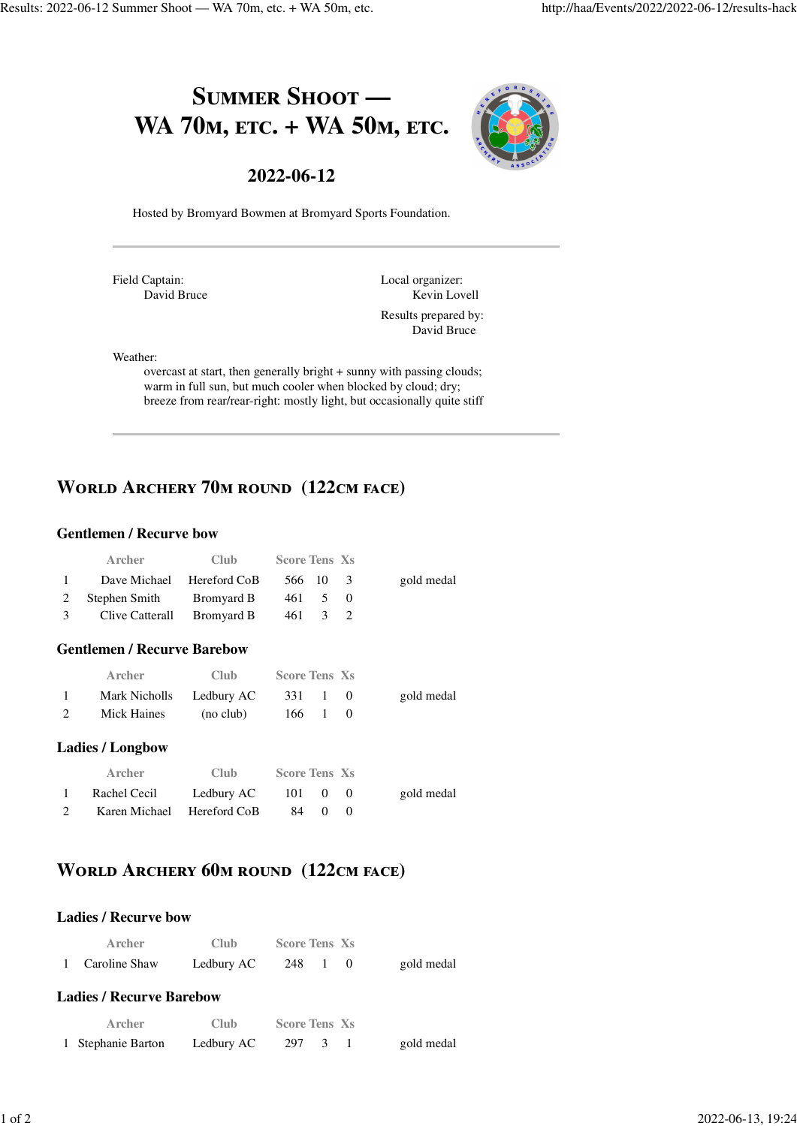# SUMMER SHOOT -WA 70<sub>M</sub>, ETC. + WA 50<sub>M</sub>, ETC.



### **2022-06-12**

Hosted by Bromyard Bowmen at Bromyard Sports Foundation.

Field Captain: David Bruce Local organizer: Kevin Lovell

Results prepared by: David Bruce

#### Weather:

overcast at start, then generally bright + sunny with passing clouds; warm in full sun, but much cooler when blocked by cloud; dry; breeze from rear/rear-right: mostly light, but occasionally quite stiff

# **WORLD ARCHERY 70M ROUND (122CM FACE)**

#### **Gentlemen / Recurve bow**

|              | Archer                     | Club - | <b>Score Tens Xs</b> |  |            |
|--------------|----------------------------|--------|----------------------|--|------------|
| $\mathbf{1}$ | Dave Michael Hereford CoB  |        | 566 10 3             |  | gold medal |
|              | 2 Stephen Smith Bromyard B |        | 461 5 0              |  |            |
| 3            | Clive Catterall Bromyard B |        | 461 3 2              |  |            |

#### **Gentlemen / Recurve Barebow**

|              | Archer                   | Club.     | <b>Score Tens Xs</b> |  |            |
|--------------|--------------------------|-----------|----------------------|--|------------|
| $\mathbf{1}$ | Mark Nicholls Ledbury AC |           | 331 1 0              |  | gold medal |
| 2            | Mick Haines              | (no club) | 166 1                |  |            |

#### **Ladies / Longbow**

| Archer                     | Club.      | <b>Score Tens Xs</b> |  |            |
|----------------------------|------------|----------------------|--|------------|
| Rachel Cecil               | Ledbury AC | 101 0 0              |  | gold medal |
| Karen Michael Hereford CoB |            | 84 0 0               |  |            |

# **WORLD ARCHERY 60M ROUND (122CM FACE)**

#### **Ladies / Recurve bow**

|                | Archer                                     | Club –      | <b>Score Tens Xs</b>             |            |
|----------------|--------------------------------------------|-------------|----------------------------------|------------|
| $\overline{1}$ | Caroline Shaw                              |             | Ledbury AC $248 \quad 1 \quad 0$ | gold medal |
|                | <b>Ladies / Recurve Barebow</b><br>A rcher | <b>Club</b> | <b>Score Tens Xs</b>             |            |

| --------           | - - - - - - - -                  |  |            |
|--------------------|----------------------------------|--|------------|
| 1 Stephanie Barton | Ledbury AC $297 \quad 3 \quad 1$ |  | gold medal |